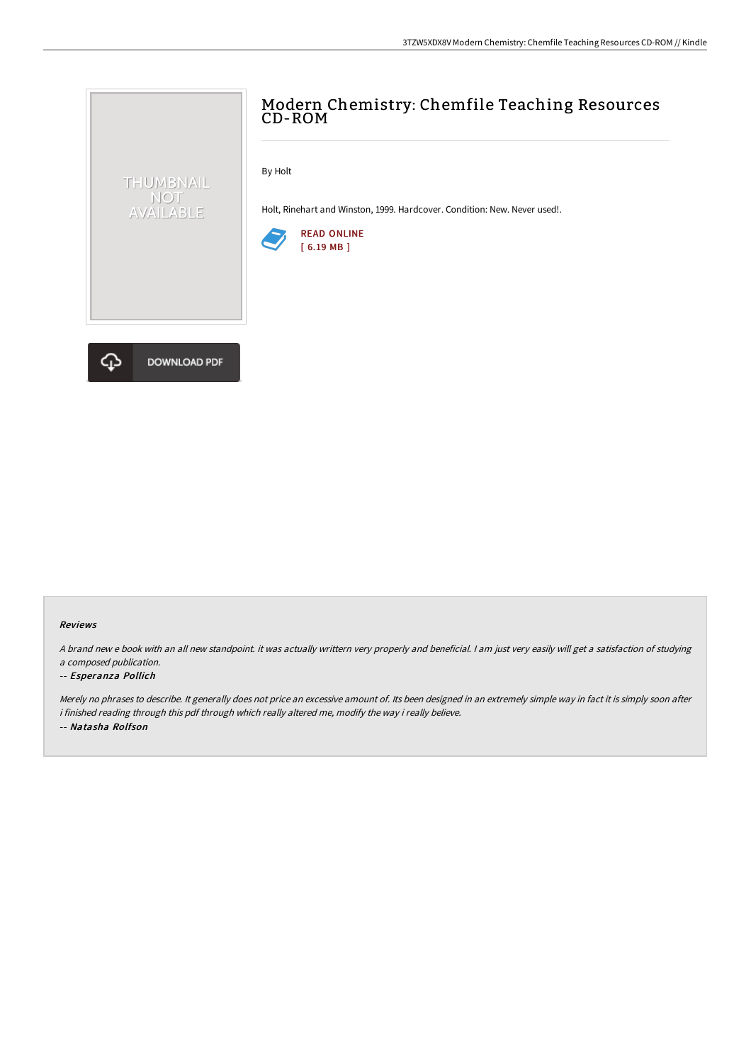# Modern Chemistry: Chemfile Teaching Resources CD-ROM

By Holt

Holt, Rinehart and Winston, 1999. Hardcover. Condition: New. Never used!.





THUMBNAIL NOT<br>AVAILABLE

#### Reviews

<sup>A</sup> brand new <sup>e</sup> book with an all new standpoint. it was actually writtern very properly and beneficial. <sup>I</sup> am just very easily will get <sup>a</sup> satisfaction of studying <sup>a</sup> composed publication.

#### -- Esperanza Pollich

Merely no phrases to describe. It generally does not price an excessive amount of. Its been designed in an extremely simple way in fact it is simply soon after i finished reading through this pdf through which really altered me, modify the way i really believe. -- Natasha Rolfson